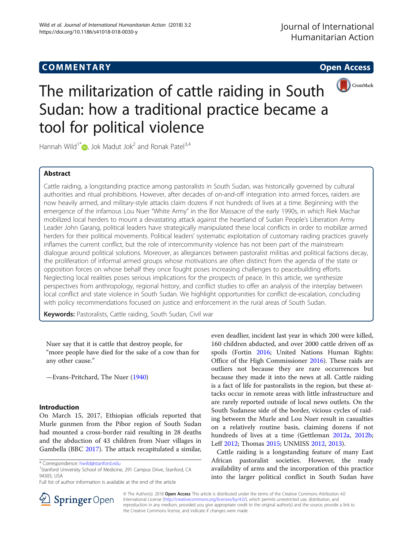

# The militarization of cattle raiding in South Sudan: how a traditional practice became a tool for political violence

Hannah Wild<sup>1\*</sup> **D**, Jok Madut Jok<sup>2</sup> and Ronak Patel<sup>3,4</sup>

## Abstract

Cattle raiding, a longstanding practice among pastoralists in South Sudan, was historically governed by cultural authorities and ritual prohibitions. However, after decades of on-and-off integration into armed forces, raiders are now heavily armed, and military-style attacks claim dozens if not hundreds of lives at a time. Beginning with the emergence of the infamous Lou Nuer "White Army" in the Bor Massacre of the early 1990s, in which Riek Machar mobilized local herders to mount a devastating attack against the heartland of Sudan People's Liberation Army Leader John Garang, political leaders have strategically manipulated these local conflicts in order to mobilize armed herders for their political movements. Political leaders' systematic exploitation of customary raiding practices gravely inflames the current conflict, but the role of intercommunity violence has not been part of the mainstream dialogue around political solutions. Moreover, as allegiances between pastoralist militias and political factions decay, the proliferation of informal armed groups whose motivations are often distinct from the agenda of the state or opposition forces on whose behalf they once fought poses increasing challenges to peacebuilding efforts. Neglecting local realities poses serious implications for the prospects of peace. In this article, we synthesize perspectives from anthropology, regional history, and conflict studies to offer an analysis of the interplay between local conflict and state violence in South Sudan. We highlight opportunities for conflict de-escalation, concluding with policy recommendations focused on justice and enforcement in the rural areas of South Sudan.

Keywords: Pastoralists, Cattle raiding, South Sudan, Civil war

Nuer say that it is cattle that destroy people, for "more people have died for the sake of a cow than for any other cause."

—Evans-Pritchard, The Nuer [\(1940](#page-9-0))

## Introduction

On March 15, 2017, Ethiopian officials reported that Murle gunmen from the Pibor region of South Sudan had mounted a cross-border raid resulting in 28 deaths and the abduction of 43 children from Nuer villages in Gambella (BBC [2017\)](#page-8-0). The attack recapitulated a similar,

\* Correspondence: [hwild@stanford.edu](mailto:hwild@stanford.edu) <sup>1</sup>

<sup>1</sup>Stanford University School of Medicine, 291 Campus Drive, Stanford, CA 94305, USA

Full list of author information is available at the end of the article

even deadlier, incident last year in which 200 were killed, 160 children abducted, and over 2000 cattle driven off as spoils (Fortin [2016;](#page-9-0) United Nations Human Rights: Office of the High Commissioner [2016\)](#page-9-0). These raids are outliers not because they are rare occurrences but because they made it into the news at all. Cattle raiding is a fact of life for pastoralists in the region, but these attacks occur in remote areas with little infrastructure and are rarely reported outside of local news outlets. On the South Sudanese side of the border, vicious cycles of raiding between the Murle and Lou Nuer result in casualties on a relatively routine basis, claiming dozens if not hundreds of lives at a time (Gettleman [2012a](#page-9-0), [2012b](#page-9-0); Leff [2012;](#page-9-0) Thomas [2015;](#page-9-0) UNMISS [2012,](#page-9-0) [2013](#page-9-0)).

Cattle raiding is a longstanding feature of many East African pastoralist societies. However, the ready availability of arms and the incorporation of this practice into the larger political conflict in South Sudan have



© The Author(s). 2018 Open Access This article is distributed under the terms of the Creative Commons Attribution 4.0 International License ([http://creativecommons.org/licenses/by/4.0/\)](http://creativecommons.org/licenses/by/4.0/), which permits unrestricted use, distribution, and reproduction in any medium, provided you give appropriate credit to the original author(s) and the source, provide a link to the Creative Commons license, and indicate if changes were made.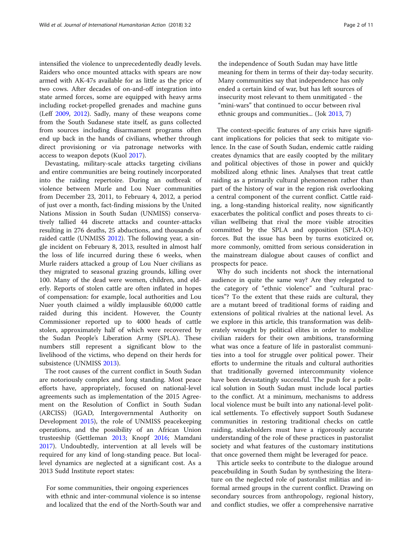intensified the violence to unprecedentedly deadly levels. Raiders who once mounted attacks with spears are now armed with AK-47s available for as little as the price of two cows. After decades of on-and-off integration into state armed forces, some are equipped with heavy arms including rocket-propelled grenades and machine guns (Leff [2009,](#page-9-0) [2012\)](#page-9-0). Sadly, many of these weapons come from the South Sudanese state itself, as guns collected from sources including disarmament programs often end up back in the hands of civilians, whether through direct provisioning or via patronage networks with access to weapon depots (Kuol [2017\)](#page-9-0).

Devastating, military-scale attacks targeting civilians and entire communities are being routinely incorporated into the raiding repertoire. During an outbreak of violence between Murle and Lou Nuer communities from December 23, 2011, to February 4, 2012, a period of just over a month, fact-finding missions by the United Nations Mission in South Sudan (UNMISS) conservatively tallied 44 discrete attacks and counter-attacks resulting in 276 deaths, 25 abductions, and thousands of raided cattle (UNMISS [2012](#page-9-0)). The following year, a single incident on February 8, 2013, resulted in almost half the loss of life incurred during these 6 weeks, when Murle raiders attacked a group of Lou Nuer civilians as they migrated to seasonal grazing grounds, killing over 100. Many of the dead were women, children, and elderly. Reports of stolen cattle are often inflated in hopes of compensation: for example, local authorities and Lou Nuer youth claimed a wildly implausible 60,000 cattle raided during this incident. However, the County Commissioner reported up to 4000 heads of cattle stolen, approximately half of which were recovered by the Sudan People's Liberation Army (SPLA). These numbers still represent a significant blow to the livelihood of the victims, who depend on their herds for subsistence (UNMISS [2013](#page-9-0)).

The root causes of the current conflict in South Sudan are notoriously complex and long standing. Most peace efforts have, appropriately, focused on national-level agreements such as implementation of the 2015 Agreement on the Resolution of Conflict in South Sudan (ARCISS) (IGAD, Intergovernmental Authority on Development [2015](#page-9-0)), the role of UNMISS peacekeeping operations, and the possibility of an African Union trusteeship (Gettleman [2013](#page-9-0); Knopf [2016](#page-9-0); Mamdani [2017](#page-9-0)). Undoubtedly, intervention at all levels will be required for any kind of long-standing peace. But locallevel dynamics are neglected at a significant cost. As a 2013 Sudd Institute report states:

the independence of South Sudan may have little meaning for them in terms of their day-today security. Many communities say that independence has only ended a certain kind of war, but has left sources of insecurity most relevant to them unmitigated - the "mini-wars" that continued to occur between rival ethnic groups and communities... (Jok [2013](#page-9-0), 7)

The context-specific features of any crisis have significant implications for policies that seek to mitigate violence. In the case of South Sudan, endemic cattle raiding creates dynamics that are easily coopted by the military and political objectives of those in power and quickly mobilized along ethnic lines. Analyses that treat cattle raiding as a primarily cultural phenomenon rather than part of the history of war in the region risk overlooking a central component of the current conflict. Cattle raiding, a long-standing historical reality, now significantly exacerbates the political conflict and poses threats to civilian wellbeing that rival the more visible atrocities committed by the SPLA and opposition (SPLA-IO) forces. But the issue has been by turns exoticized or, more commonly, omitted from serious consideration in the mainstream dialogue about causes of conflict and prospects for peace.

Why do such incidents not shock the international audience in quite the same way? Are they relegated to the category of "ethnic violence" and "cultural practices"? To the extent that these raids are cultural, they are a mutant breed of traditional forms of raiding and extensions of political rivalries at the national level. As we explore in this article, this transformation was deliberately wrought by political elites in order to mobilize civilian raiders for their own ambitions, transforming what was once a feature of life in pastoralist communities into a tool for struggle over political power. Their efforts to undermine the rituals and cultural authorities that traditionally governed intercommunity violence have been devastatingly successful. The push for a political solution in South Sudan must include local parties to the conflict. At a minimum, mechanisms to address local violence must be built into any national-level political settlements. To effectively support South Sudanese communities in restoring traditional checks on cattle raiding, stakeholders must have a rigorously accurate understanding of the role of these practices in pastoralist society and what features of the customary institutions that once governed them might be leveraged for peace.

This article seeks to contribute to the dialogue around peacebuilding in South Sudan by synthesizing the literature on the neglected role of pastoralist militias and informal armed groups in the current conflict. Drawing on secondary sources from anthropology, regional history, and conflict studies, we offer a comprehensive narrative

For some communities, their ongoing experiences with ethnic and inter-communal violence is so intense and localized that the end of the North-South war and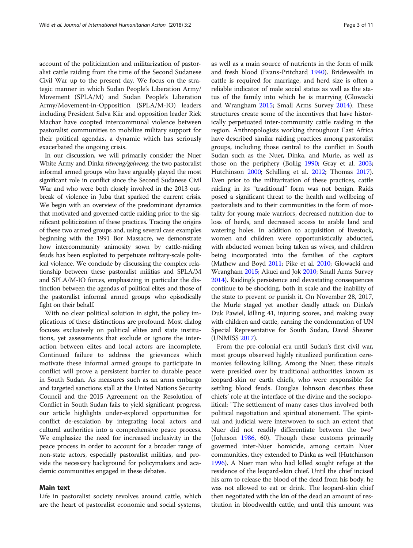account of the politicization and militarization of pastoralist cattle raiding from the time of the Second Sudanese Civil War up to the present day. We focus on the strategic manner in which Sudan People's Liberation Army/ Movement (SPLA/M) and Sudan People's Liberation Army/Movement-in-Opposition (SPLA/M-IO) leaders including President Salva Kiir and opposition leader Riek Machar have coopted intercommunal violence between pastoralist communities to mobilize military support for their political agendas, a dynamic which has seriously exacerbated the ongoing crisis.

In our discussion, we will primarily consider the Nuer White Army and Dinka titweng/gelweng, the two pastoralist informal armed groups who have arguably played the most significant role in conflict since the Second Sudanese Civil War and who were both closely involved in the 2013 outbreak of violence in Juba that sparked the current crisis. We begin with an overview of the predominant dynamics that motivated and governed cattle raiding prior to the significant politicization of these practices. Tracing the origins of these two armed groups and, using several case examples beginning with the 1991 Bor Massacre, we demonstrate how intercommunity animosity sown by cattle-raiding feuds has been exploited to perpetuate military-scale political violence. We conclude by discussing the complex relationship between these pastoralist militias and SPLA/M and SPLA/M-IO forces, emphasizing in particular the distinction between the agendas of political elites and those of the pastoralist informal armed groups who episodically fight on their behalf.

With no clear political solution in sight, the policy implications of these distinctions are profound. Most dialog focuses exclusively on political elites and state institutions, yet assessments that exclude or ignore the interaction between elites and local actors are incomplete. Continued failure to address the grievances which motivate these informal armed groups to participate in conflict will prove a persistent barrier to durable peace in South Sudan. As measures such as an arms embargo and targeted sanctions stall at the United Nations Security Council and the 2015 Agreement on the Resolution of Conflict in South Sudan fails to yield significant progress, our article highlights under-explored opportunities for conflict de-escalation by integrating local actors and cultural authorities into a comprehensive peace process. We emphasize the need for increased inclusivity in the peace process in order to account for a broader range of non-state actors, especially pastoralist militias, and provide the necessary background for policymakers and academic communities engaged in these debates.

### Main text

Life in pastoralist society revolves around cattle, which are the heart of pastoralist economic and social systems, as well as a main source of nutrients in the form of milk and fresh blood (Evans-Pritchard [1940](#page-9-0)). Bridewealth in cattle is required for marriage, and herd size is often a reliable indicator of male social status as well as the status of the family into which he is marrying (Glowacki and Wrangham [2015;](#page-9-0) Small Arms Survey [2014\)](#page-9-0). These structures create some of the incentives that have historically perpetuated inter-community cattle raiding in the region. Anthropologists working throughout East Africa have described similar raiding practices among pastoralist groups, including those central to the conflict in South Sudan such as the Nuer, Dinka, and Murle, as well as those on the periphery (Bollig [1990](#page-8-0); Gray et al. [2003](#page-9-0); Hutchinson [2000](#page-9-0); Schilling et al. [2012;](#page-9-0) Thomas [2017](#page-9-0)). Even prior to the militarization of these practices, cattle raiding in its "traditional" form was not benign. Raids posed a significant threat to the health and wellbeing of pastoralists and to their communities in the form of mortality for young male warriors, decreased nutrition due to loss of herds, and decreased access to arable land and watering holes. In addition to acquisition of livestock, women and children were opportunistically abducted, with abducted women being taken as wives, and children being incorporated into the families of the captors (Mathew and Boyd [2011](#page-9-0); Pike et al. [2010;](#page-9-0) Glowacki and Wrangham [2015](#page-9-0); Akuei and Jok [2010](#page-8-0); Small Arms Survey [2014\)](#page-9-0). Raiding's persistence and devastating consequences continue to be shocking, both in scale and the inability of the state to prevent or punish it. On November 28, 2017, the Murle staged yet another deadly attack on Dinka's Duk Pawiel, killing 41, injuring scores, and making away with children and cattle, earning the condemnation of UN Special Representative for South Sudan, David Shearer (UNMISS [2017](#page-9-0)).

From the pre-colonial era until Sudan's first civil war, most groups observed highly ritualized purification ceremonies following killing. Among the Nuer, these rituals were presided over by traditional authorities known as leopard-skin or earth chiefs, who were responsible for settling blood feuds. Douglas Johnson describes these chiefs' role at the interface of the divine and the sociopolitical: "The settlement of many cases thus involved both political negotiation and spiritual atonement. The spiritual and judicial were interwoven to such an extent that Nuer did not readily differentiate between the two" (Johnson [1986](#page-9-0), 60). Though these customs primarily governed inter-Nuer homicide, among certain Nuer communities, they extended to Dinka as well (Hutchinson [1996\)](#page-9-0). A Nuer man who had killed sought refuge at the residence of the leopard-skin chief. Until the chief incised his arm to release the blood of the dead from his body, he was not allowed to eat or drink. The leopard-skin chief then negotiated with the kin of the dead an amount of restitution in bloodwealth cattle, and until this amount was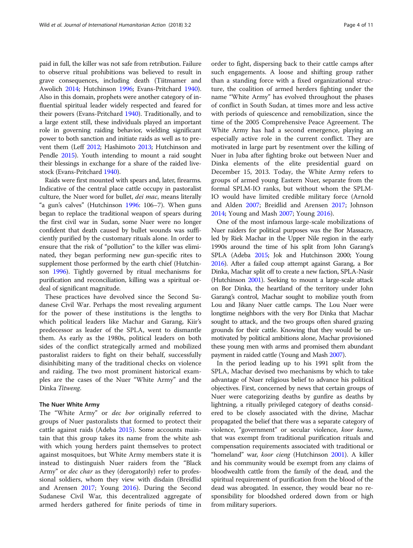paid in full, the killer was not safe from retribution. Failure to observe ritual prohibitions was believed to result in grave consequences, including death (Tiitmamer and Awolich [2014;](#page-9-0) Hutchinson [1996](#page-9-0); Evans-Pritchard [1940](#page-9-0)). Also in this domain, prophets were another category of influential spiritual leader widely respected and feared for their powers (Evans-Pritchard [1940](#page-9-0)). Traditionally, and to a large extent still, these individuals played an important role in governing raiding behavior, wielding significant power to both sanction and initiate raids as well as to prevent them (Leff [2012](#page-9-0); Hashimoto [2013](#page-9-0); Hutchinson and Pendle [2015\)](#page-9-0). Youth intending to mount a raid sought their blessings in exchange for a share of the raided livestock (Evans-Pritchard [1940\)](#page-9-0).

Raids were first mounted with spears and, later, firearms. Indicative of the central place cattle occupy in pastoralist culture, the Nuer word for bullet, dei mac, means literally "a gun's calves" (Hutchinson [1996](#page-9-0): 106–7). When guns began to replace the traditional weapon of spears during the first civil war in Sudan, some Nuer were no longer confident that death caused by bullet wounds was sufficiently purified by the customary rituals alone. In order to ensure that the risk of "pollution" to the killer was eliminated, they began performing new gun-specific rites to supplement those performed by the earth chief (Hutchinson [1996\)](#page-9-0). Tightly governed by ritual mechanisms for purification and reconciliation, killing was a spiritual ordeal of significant magnitude.

These practices have devolved since the Second Sudanese Civil War. Perhaps the most revealing argument for the power of these institutions is the lengths to which political leaders like Machar and Garang, Kiir's predecessor as leader of the SPLA, went to dismantle them. As early as the 1980s, political leaders on both sides of the conflict strategically armed and mobilized pastoralist raiders to fight on their behalf, successfully disinhibiting many of the traditional checks on violence and raiding. The two most prominent historical examples are the cases of the Nuer "White Army" and the Dinka Titweng.

#### The Nuer White Army

The "White Army" or *dec bor* originally referred to groups of Nuer pastoralists that formed to protect their cattle against raids (Adeba [2015\)](#page-8-0). Some accounts maintain that this group takes its name from the white ash with which young herders paint themselves to protect against mosquitoes, but White Army members state it is instead to distinguish Nuer raiders from the "Black Army" or dec char as they (derogatorily) refer to professional soldiers, whom they view with disdain (Breidlid and Arensen [2017;](#page-8-0) Young [2016\)](#page-10-0). During the Second Sudanese Civil War, this decentralized aggregate of armed herders gathered for finite periods of time in

order to fight, dispersing back to their cattle camps after such engagements. A loose and shifting group rather than a standing force with a fixed organizational structure, the coalition of armed herders fighting under the name "White Army" has evolved throughout the phases of conflict in South Sudan, at times more and less active with periods of quiescence and remobilization, since the time of the 2005 Comprehensive Peace Agreement. The White Army has had a second emergence, playing an especially active role in the current conflict. They are motivated in large part by resentment over the killing of Nuer in Juba after fighting broke out between Nuer and Dinka elements of the elite presidential guard on December 15, 2013. Today, the White Army refers to groups of armed young Eastern Nuer, separate from the formal SPLM-IO ranks, but without whom the SPLM-IO would have limited credible military force (Arnold and Alden [2007](#page-8-0); Breidlid and Arensen [2017;](#page-8-0) Johnson [2014](#page-9-0); Young and Mash [2007](#page-10-0); Young [2016\)](#page-10-0).

One of the most infamous large-scale mobilizations of Nuer raiders for political purposes was the Bor Massacre, led by Riek Machar in the Upper Nile region in the early 1990s around the time of his split from John Garang's SPLA (Adeba [2015](#page-8-0); Jok and Hutchinson 2000; Young [2016\)](#page-10-0). After a failed coup attempt against Garang, a Bor Dinka, Machar split off to create a new faction, SPLA-Nasir (Hutchinson [2001\)](#page-9-0). Seeking to mount a large-scale attack on Bor Dinka, the heartland of the territory under John Garang's control, Machar sought to mobilize youth from Lou and Jikany Nuer cattle camps. The Lou Nuer were longtime neighbors with the very Bor Dinka that Machar sought to attack, and the two groups often shared grazing grounds for their cattle. Knowing that they would be unmotivated by political ambitions alone, Machar provisioned these young men with arms and promised them abundant payment in raided cattle (Young and Mash [2007](#page-10-0)).

In the period leading up to his 1991 split from the SPLA, Machar devised two mechanisms by which to take advantage of Nuer religious belief to advance his political objectives. First, concerned by news that certain groups of Nuer were categorizing deaths by gunfire as deaths by lightning, a ritually privileged category of deaths considered to be closely associated with the divine, Machar propagated the belief that there was a separate category of violence, "government" or secular violence, koor kume, that was exempt from traditional purification rituals and compensation requirements associated with traditional or "homeland" war, koor cieng (Hutchinson [2001](#page-9-0)). A killer and his community would be exempt from any claims of bloodwealth cattle from the family of the dead, and the spiritual requirement of purification from the blood of the dead was abrogated. In essence, they would bear no responsibility for bloodshed ordered down from or high from military superiors.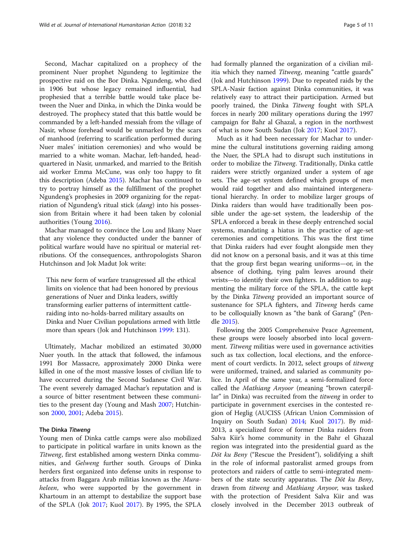Second, Machar capitalized on a prophecy of the prominent Nuer prophet Ngundeng to legitimize the prospective raid on the Bor Dinka. Ngundeng, who died in 1906 but whose legacy remained influential, had prophesied that a terrible battle would take place between the Nuer and Dinka, in which the Dinka would be destroyed. The prophecy stated that this battle would be commanded by a left-handed messiah from the village of Nasir, whose forehead would be unmarked by the scars of manhood (referring to scarification performed during Nuer males' initiation ceremonies) and who would be married to a white woman. Machar, left-handed, headquartered in Nasir, unmarked, and married to the British aid worker Emma McCune, was only too happy to fit this description (Adeba [2015\)](#page-8-0). Machar has continued to try to portray himself as the fulfillment of the prophet Ngundeng's prophesies in 2009 organizing for the repatriation of Ngundeng's ritual stick (dang) into his possession from Britain where it had been taken by colonial authorities (Young [2016\)](#page-10-0).

Machar managed to convince the Lou and Jikany Nuer that any violence they conducted under the banner of political warfare would have no spiritual or material retributions. Of the consequences, anthropologists Sharon Hutchinson and Jok Madut Jok write:

This new form of warfare transgressed all the ethical limits on violence that had been honored by previous generations of Nuer and Dinka leaders, swiftly transforming earlier patterns of intermittent cattleraiding into no-holds-barred military assaults on Dinka and Nuer Civilian populations armed with little more than spears (Jok and Hutchinson [1999:](#page-9-0) 131).

Ultimately, Machar mobilized an estimated 30,000 Nuer youth. In the attack that followed, the infamous 1991 Bor Massacre, approximately 2000 Dinka were killed in one of the most massive losses of civilian life to have occurred during the Second Sudanese Civil War. The event severely damaged Machar's reputation and is a source of bitter resentment between these communities to the present day (Young and Mash [2007;](#page-10-0) Hutchinson [2000,](#page-9-0) [2001](#page-9-0); Adeba [2015](#page-8-0)).

#### The Dinka Titweng

Young men of Dinka cattle camps were also mobilized to participate in political warfare in units known as the Titweng, first established among western Dinka communities, and Gelweng further south. Groups of Dinka herders first organized into defense units in response to attacks from Baggara Arab militias known as the Muraheleen, who were supported by the government in Khartoum in an attempt to destabilize the support base of the SPLA (Jok [2017;](#page-9-0) Kuol [2017\)](#page-9-0). By 1995, the SPLA had formally planned the organization of a civilian militia which they named Titweng, meaning "cattle guards" (Jok and Hutchinson [1999](#page-9-0)). Due to repeated raids by the SPLA-Nasir faction against Dinka communities, it was relatively easy to attract their participation. Armed but poorly trained, the Dinka Titweng fought with SPLA forces in nearly 200 military operations during the 1997 campaign for Bahr al Ghazal, a region in the northwest of what is now South Sudan (Jok [2017](#page-9-0); Kuol [2017\)](#page-9-0).

Much as it had been necessary for Machar to undermine the cultural institutions governing raiding among the Nuer, the SPLA had to disrupt such institutions in order to mobilize the Titweng. Traditionally, Dinka cattle raiders were strictly organized under a system of age sets. The age-set system defined which groups of men would raid together and also maintained intergenerational hierarchy. In order to mobilize larger groups of Dinka raiders than would have traditionally been possible under the age-set system, the leadership of the SPLA enforced a break in these deeply entrenched social systems, mandating a hiatus in the practice of age-set ceremonies and competitions. This was the first time that Dinka raiders had ever fought alongside men they did not know on a personal basis, and it was at this time that the group first began wearing uniforms—or, in the absence of clothing, tying palm leaves around their wrists—to identify their own fighters. In addition to augmenting the military force of the SPLA, the cattle kept by the Dinka Titweng provided an important source of sustenance for SPLA fighters, and Titweng herds came to be colloquially known as "the bank of Garang" (Pendle [2015](#page-9-0)).

Following the 2005 Comprehensive Peace Agreement, these groups were loosely absorbed into local government. Titweng militias were used in governance activities such as tax collection, local elections, and the enforcement of court verdicts. In 2012, select groups of titweng were uniformed, trained, and salaried as community police. In April of the same year, a semi-formalized force called the Mathiang Anyoor (meaning "brown caterpillar" in Dinka) was recruited from the titweng in order to participate in government exercises in the contested region of Heglig (AUCISS (African Union Commission of Inquiry on South Sudan) [2014;](#page-8-0) Kuol [2017](#page-9-0)). By mid-2013, a specialized force of former Dinka raiders from Salva Kiir's home community in the Bahr el Ghazal region was integrated into the presidential guard as the Döt ku Beny ("Rescue the President"), solidifying a shift in the role of informal pastoralist armed groups from protectors and raiders of cattle to semi-integrated members of the state security apparatus. The *Döt ku Beny*, drawn from titweng and Mathiang Anyoor, was tasked with the protection of President Salva Kiir and was closely involved in the December 2013 outbreak of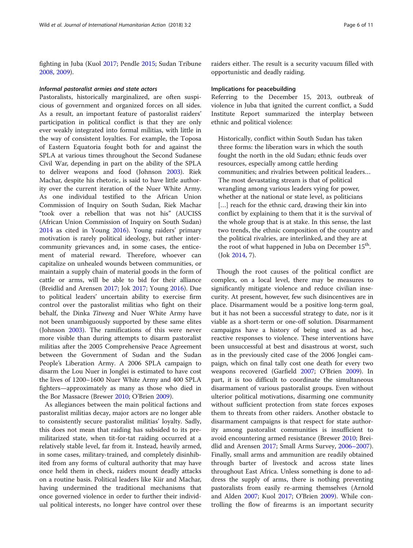fighting in Juba (Kuol [2017](#page-9-0); Pendle [2015;](#page-9-0) Sudan Tribune [2008](#page-9-0), [2009](#page-9-0)).

#### Informal pastoralist armies and state actors

Pastoralists, historically marginalized, are often suspicious of government and organized forces on all sides. As a result, an important feature of pastoralist raiders' participation in political conflict is that they are only ever weakly integrated into formal militias, with little in the way of consistent loyalties. For example, the Toposa of Eastern Equatoria fought both for and against the SPLA at various times throughout the Second Sudanese Civil War, depending in part on the ability of the SPLA to deliver weapons and food (Johnson [2003](#page-9-0)). Riek Machar, despite his rhetoric, is said to have little authority over the current iteration of the Nuer White Army. As one individual testified to the African Union Commission of Inquiry on South Sudan, Riek Machar "took over a rebellion that was not his" (AUCISS (African Union Commission of Inquiry on South Sudan) [2014](#page-8-0) as cited in Young [2016](#page-10-0)). Young raiders' primary motivation is rarely political ideology, but rather intercommunity grievances and, in some cases, the enticement of material reward. Therefore, whoever can capitalize on unhealed wounds between communities, or maintain a supply chain of material goods in the form of cattle or arms, will be able to bid for their alliance (Breidlid and Arensen [2017;](#page-8-0) Jok [2017;](#page-9-0) Young [2016](#page-10-0)). Due to political leaders' uncertain ability to exercise firm control over the pastoralist militias who fight on their behalf, the Dinka Titweng and Nuer White Army have not been unambiguously supported by these same elites (Johnson [2003\)](#page-9-0). The ramifications of this were never more visible than during attempts to disarm pastoralist militias after the 2005 Comprehensive Peace Agreement between the Government of Sudan and the Sudan People's Liberation Army. A 2006 SPLA campaign to disarm the Lou Nuer in Jonglei is estimated to have cost the lives of 1200–1600 Nuer White Army and 400 SPLA fighters—approximately as many as those who died in the Bor Massacre (Brewer [2010;](#page-9-0) O'Brien [2009\)](#page-9-0).

As allegiances between the main political factions and pastoralist militias decay, major actors are no longer able to consistently secure pastoralist militias' loyalty. Sadly, this does not mean that raiding has subsided to its premilitarized state, when tit-for-tat raiding occurred at a relatively stable level, far from it. Instead, heavily armed, in some cases, military-trained, and completely disinhibited from any forms of cultural authority that may have once held them in check, raiders mount deadly attacks on a routine basis. Political leaders like Kiir and Machar, having undermined the traditional mechanisms that once governed violence in order to further their individual political interests, no longer have control over these raiders either. The result is a security vacuum filled with opportunistic and deadly raiding.

#### Implications for peacebuilding

Referring to the December 15, 2013, outbreak of violence in Juba that ignited the current conflict, a Sudd Institute Report summarized the interplay between ethnic and political violence:

Historically, conflict within South Sudan has taken three forms: the liberation wars in which the south fought the north in the old Sudan; ethnic feuds over resources, especially among cattle herding communities; and rivalries between political leaders… The most devastating stream is that of political wrangling among various leaders vying for power, whether at the national or state level, as politicians [...] reach for the ethnic card, drawing their kin into conflict by explaining to them that it is the survival of the whole group that is at stake. In this sense, the last two trends, the ethnic composition of the country and the political rivalries, are interlinked, and they are at the root of what happened in Juba on December  $15<sup>th</sup>$ . (Jok [2014](#page-9-0), 7).

Though the root causes of the political conflict are complex, on a local level, there may be measures to significantly mitigate violence and reduce civilian insecurity. At present, however, few such disincentives are in place. Disarmament would be a positive long-term goal, but it has not been a successful strategy to date, nor is it viable as a short-term or one-off solution. Disarmament campaigns have a history of being used as ad hoc, reactive responses to violence. These interventions have been unsuccessful at best and disastrous at worst, such as in the previously cited case of the 2006 Jonglei campaign, which on final tally cost one death for every two weapons recovered (Garfield [2007](#page-9-0); O'Brien [2009\)](#page-9-0). In part, it is too difficult to coordinate the simultaneous disarmament of various pastoralist groups. Even without ulterior political motivations, disarming one community without sufficient protection from state forces exposes them to threats from other raiders. Another obstacle to disarmament campaigns is that respect for state authority among pastoralist communities is insufficient to avoid encountering armed resistance (Brewer [2010](#page-9-0); Breidlid and Arensen [2017](#page-8-0); Small Arms Survey, [2006](#page-9-0)–2007). Finally, small arms and ammunition are readily obtained through barter of livestock and across state lines throughout East Africa. Unless something is done to address the supply of arms, there is nothing preventing pastoralists from easily re-arming themselves (Arnold and Alden [2007;](#page-8-0) Kuol [2017;](#page-9-0) O'Brien [2009](#page-9-0)). While controlling the flow of firearms is an important security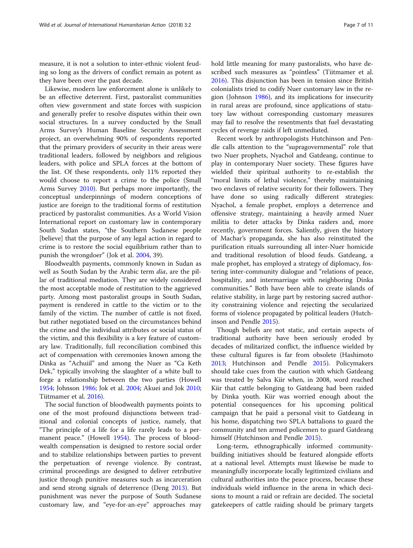measure, it is not a solution to inter-ethnic violent feuding so long as the drivers of conflict remain as potent as they have been over the past decade.

Likewise, modern law enforcement alone is unlikely to be an effective deterrent. First, pastoralist communities often view government and state forces with suspicion and generally prefer to resolve disputes within their own social structures. In a survey conducted by the Small Arms Survey's Human Baseline Security Assessment project, an overwhelming 90% of respondents reported that the primary providers of security in their areas were traditional leaders, followed by neighbors and religious leaders, with police and SPLA forces at the bottom of the list. Of these respondents, only 11% reported they would choose to report a crime to the police (Small Arms Survey [2010\)](#page-9-0). But perhaps more importantly, the conceptual underpinnings of modern conceptions of justice are foreign to the traditional forms of restitution practiced by pastoralist communities. As a World Vision International report on customary law in contemporary South Sudan states, "the Southern Sudanese people [believe] that the purpose of any legal action in regard to crime is to restore the social equilibrium rather than to punish the wrongdoer" (Jok et al. [2004,](#page-9-0) 39).

Bloodwealth payments, commonly known in Sudan as well as South Sudan by the Arabic term *dia*, are the pillar of traditional mediation. They are widely considered the most acceptable mode of restitution to the aggrieved party. Among most pastoralist groups in South Sudan, payment is rendered in cattle to the victim or to the family of the victim. The number of cattle is not fixed, but rather negotiated based on the circumstances behind the crime and the individual attributes or social status of the victim, and this flexibility is a key feature of customary law. Traditionally, full reconciliation combined this act of compensation with ceremonies known among the Dinka as "Achuiil" and among the Nuer as "Ca Keth Dek," typically involving the slaughter of a white bull to forge a relationship between the two parties (Howell [1954](#page-9-0); Johnson [1986;](#page-9-0) Jok et al. [2004;](#page-9-0) Akuei and Jok [2010](#page-8-0); Tiitmamer et al. [2016](#page-9-0)).

The social function of bloodwealth payments points to one of the most profound disjunctions between traditional and colonial concepts of justice, namely, that "The principle of a life for a life rarely leads to a permanent peace." (Howell [1954](#page-9-0)). The process of bloodwealth compensation is designed to restore social order and to stabilize relationships between parties to prevent the perpetuation of revenge violence. By contrast, criminal proceedings are designed to deliver retributive justice through punitive measures such as incarceration and send strong signals of deterrence (Deng [2013\)](#page-9-0). But punishment was never the purpose of South Sudanese customary law, and "eye-for-an-eye" approaches may hold little meaning for many pastoralists, who have described such measures as "pointless" (Tiitmamer et al. [2016](#page-9-0)). This disjunction has been in tension since British colonialists tried to codify Nuer customary law in the region (Johnson [1986](#page-9-0)), and its implications for insecurity in rural areas are profound, since applications of statutory law without corresponding customary measures may fail to resolve the resentments that fuel devastating cycles of revenge raids if left unmediated.

Recent work by anthropologists Hutchinson and Pendle calls attention to the "supragovernmental" role that two Nuer prophets, Nyachol and Gatdeang, continue to play in contemporary Nuer society. These figures have wielded their spiritual authority to re-establish the "moral limits of lethal violence," thereby maintaining two enclaves of relative security for their followers. They have done so using radically different strategies: Nyachol, a female prophet, employs a deterrence and offensive strategy, maintaining a heavily armed Nuer militia to deter attacks by Dinka raiders and, more recently, government forces. Saliently, given the history of Machar's propaganda, she has also reinstituted the purification rituals surrounding all inter-Nuer homicide and traditional resolution of blood feuds. Gatdeang, a male prophet, has employed a strategy of diplomacy, fostering inter-community dialogue and "relations of peace, hospitality, and intermarriage with neighboring Dinka communities." Both have been able to create islands of relative stability, in large part by restoring sacred authority constraining violence and rejecting the secularized forms of violence propagated by political leaders (Hutchinson and Pendle [2015\)](#page-9-0).

Though beliefs are not static, and certain aspects of traditional authority have been seriously eroded by decades of militarized conflict, the influence wielded by these cultural figures is far from obsolete (Hashimoto [2013](#page-9-0); Hutchinson and Pendle [2015\)](#page-9-0). Policymakers should take cues from the caution with which Gatdeang was treated by Salva Kiir when, in 2008, word reached Kiir that cattle belonging to Gatdeang had been raided by Dinka youth. Kiir was worried enough about the potential consequences for his upcoming political campaign that he paid a personal visit to Gatdeang in his home, dispatching two SPLA battalions to guard the community and ten armed policemen to guard Gatdeang himself (Hutchinson and Pendle [2015\)](#page-9-0).

Long-term, ethnographically informed communitybuilding initiatives should be featured alongside efforts at a national level. Attempts must likewise be made to meaningfully incorporate locally legitimized civilians and cultural authorities into the peace process, because these individuals wield influence in the arena in which decisions to mount a raid or refrain are decided. The societal gatekeepers of cattle raiding should be primary targets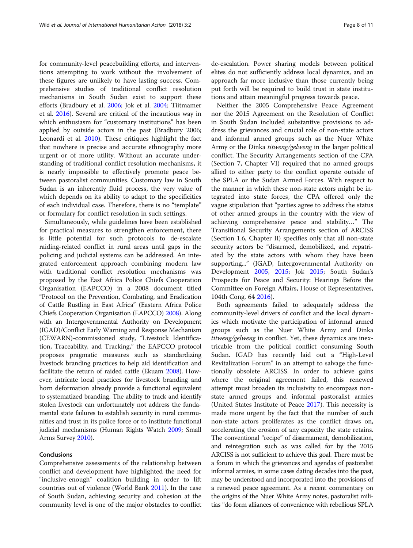for community-level peacebuilding efforts, and interventions attempting to work without the involvement of these figures are unlikely to have lasting success. Comprehensive studies of traditional conflict resolution mechanisms in South Sudan exist to support these efforts (Bradbury et al. [2006;](#page-8-0) Jok et al. [2004;](#page-9-0) Tiitmamer et al. [2016](#page-9-0)). Several are critical of the incautious way in which enthusiasm for "customary institutions" has been applied by outside actors in the past (Bradbury 2006; Leonardi et al. [2010\)](#page-9-0). These critiques highlight the fact that nowhere is precise and accurate ethnography more urgent or of more utility. Without an accurate understanding of traditional conflict resolution mechanisms, it is nearly impossible to effectively promote peace between pastoralist communities. Customary law in South Sudan is an inherently fluid process, the very value of which depends on its ability to adapt to the specificities of each individual case. Therefore, there is no "template" or formulary for conflict resolution in such settings.

Simultaneously, while guidelines have been established for practical measures to strengthen enforcement, there is little potential for such protocols to de-escalate raiding-related conflict in rural areas until gaps in the policing and judicial systems can be addressed. An integrated enforcement approach combining modern law with traditional conflict resolution mechanisms was proposed by the East Africa Police Chiefs Cooperation Organisation (EAPCCO) in a 2008 document titled "Protocol on the Prevention, Combating, and Eradication of Cattle Rustling in East Africa" (Eastern Africa Police Chiefs Cooperation Organisation (EAPCCO) [2008](#page-9-0)). Along with an Intergovernmental Authority on Development (IGAD)/Conflict Early Warning and Response Mechanism (CEWARN)-commissioned study, "Livestock Identification, Traceability, and Tracking," the EAPCCO protocol proposes pragmatic measures such as standardizing livestock branding practices to help aid identification and facilitate the return of raided cattle (Ekuam [2008\)](#page-9-0). However, intricate local practices for livestock branding and horn deformation already provide a functional equivalent to systematized branding. The ability to track and identify stolen livestock can unfortunately not address the fundamental state failures to establish security in rural communities and trust in its police force or to institute functional judicial mechanisms (Human Rights Watch [2009;](#page-9-0) Small Arms Survey [2010\)](#page-9-0).

#### Conclusions

Comprehensive assessments of the relationship between conflict and development have highlighted the need for "inclusive-enough" coalition building in order to lift countries out of violence (World Bank [2011\)](#page-9-0). In the case of South Sudan, achieving security and cohesion at the community level is one of the major obstacles to conflict

de-escalation. Power sharing models between political elites do not sufficiently address local dynamics, and an approach far more inclusive than those currently being put forth will be required to build trust in state institutions and attain meaningful progress towards peace.

Neither the 2005 Comprehensive Peace Agreement nor the 2015 Agreement on the Resolution of Conflict in South Sudan included substantive provisions to address the grievances and crucial role of non-state actors and informal armed groups such as the Nuer White Army or the Dinka titweng/gelweng in the larger political conflict. The Security Arrangements section of the CPA (Section 7, Chapter VI) required that no armed groups allied to either party to the conflict operate outside of the SPLA or the Sudan Armed Forces. With respect to the manner in which these non-state actors might be integrated into state forces, the CPA offered only the vague stipulation that "parties agree to address the status of other armed groups in the country with the view of achieving comprehensive peace and stability…" The Transitional Security Arrangements section of ARCISS (Section 1.6, Chapter II) specifies only that all non-state security actors be "disarmed, demobilized, and repatriated by the state actors with whom they have been supporting..." (IGAD, Intergovernmental Authority on Development [2005,](#page-9-0) [2015](#page-9-0); Jok [2015;](#page-9-0) South Sudan's Prospects for Peace and Security: Hearings Before the Committee on Foreign Affairs, House of Representatives, 104th Cong. 64 [2016](#page-9-0)).

Both agreements failed to adequately address the community-level drivers of conflict and the local dynamics which motivate the participation of informal armed groups such as the Nuer White Army and Dinka titweng/gelweng in conflict. Yet, these dynamics are inextricable from the political conflict consuming South Sudan. IGAD has recently laid out a "High-Level Revitalization Forum" in an attempt to salvage the functionally obsolete ARCISS. In order to achieve gains where the original agreement failed, this renewed attempt must broaden its inclusivity to encompass nonstate armed groups and informal pastoralist armies (United States Institute of Peace [2017](#page-9-0)). This necessity is made more urgent by the fact that the number of such non-state actors proliferates as the conflict draws on, accelerating the erosion of any capacity the state retains. The conventional "recipe" of disarmament, demobilization, and reintegration such as was called for by the 2015 ARCISS is not sufficient to achieve this goal. There must be a forum in which the grievances and agendas of pastoralist informal armies, in some cases dating decades into the past, may be understood and incorporated into the provisions of a renewed peace agreement. As a recent commentary on the origins of the Nuer White Army notes, pastoralist militias "do form alliances of convenience with rebellious SPLA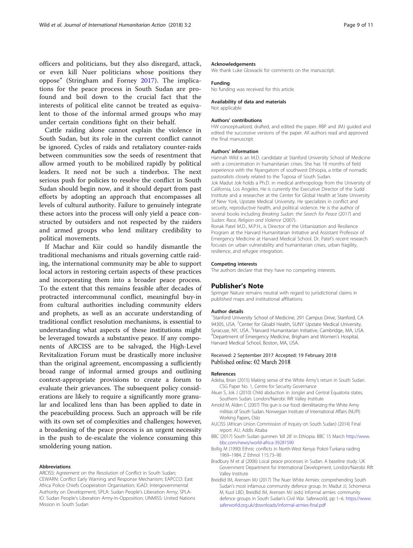<span id="page-8-0"></span>officers and politicians, but they also disregard, attack, or even kill Nuer politicians whose positions they oppose" (Stringham and Forney [2017](#page-9-0)). The implications for the peace process in South Sudan are profound and boil down to the crucial fact that the interests of political elite cannot be treated as equivalent to those of the informal armed groups who may under certain conditions fight on their behalf.

Cattle raiding alone cannot explain the violence in South Sudan, but its role in the current conflict cannot be ignored. Cycles of raids and retaliatory counter-raids between communities sow the seeds of resentment that allow armed youth to be mobilized rapidly by political leaders. It need not be such a tinderbox. The next serious push for policies to resolve the conflict in South Sudan should begin now, and it should depart from past efforts by adopting an approach that encompasses all levels of cultural authority. Failure to genuinely integrate these actors into the process will only yield a peace constructed by outsiders and not respected by the raiders and armed groups who lend military credibility to political movements.

If Machar and Kiir could so handily dismantle the traditional mechanisms and rituals governing cattle raiding, the international community may be able to support local actors in restoring certain aspects of these practices and incorporating them into a broader peace process. To the extent that this remains feasible after decades of protracted intercommunal conflict, meaningful buy-in from cultural authorities including community elders and prophets, as well as an accurate understanding of traditional conflict resolution mechanisms, is essential to understanding what aspects of these institutions might be leveraged towards a substantive peace. If any components of ARCISS are to be salvaged, the High-Level Revitalization Forum must be drastically more inclusive than the original agreement, encompassing a sufficiently broad range of informal armed groups and outlining context-appropriate provisions to create a forum to evaluate their grievances. The subsequent policy considerations are likely to require a significantly more granular and localized lens than has been applied to date in the peacebuilding process. Such an approach will be rife with its own set of complexities and challenges; however, a broadening of the peace process is an urgent necessity in the push to de-escalate the violence consuming this smoldering young nation.

#### Abbreviations

ARCISS: Agreement on the Resolution of Conflict in South Sudan; CEWARN: Conflict Early Warning and Response Mechanism; EAPCCO: East Africa Police Chiefs Cooperation Organisation; IGAD: Intergovernmental Authority on Development; SPLA: Sudan People's Liberation Army; SPLA-IO: Sudan People's Liberation Army-In-Opposition; UNMISS: United Nations Mission in South Sudan

#### Acknowledgements

We thank Luke Glowacki for comments on the manuscript.

#### Funding

No funding was received for this article.

## Availability of data and materials

Not applicable

#### Authors' contributions

HW conceptualized, drafted, and edited the paper. RBP and JMJ guided and edited the successive versions of the paper. All authors read and approved the final manuscript.

#### Authors' information

Hannah Wild is an M.D. candidate at Stanford University School of Medicine with a concentration in humanitarian crises. She has 18 months of field experience with the Nyangatom of southwest Ethiopia, a tribe of nomadic pastoralists closely related to the Toposa of South Sudan. Jok Madut Jok holds a Ph.D. in medical anthropology from the University of California, Los Angeles. He is currently the Executive Director of the Sudd Institute and a researcher at the Center for Global Health at State University of New York, Upstate Medical University. He specializes in conflict and security, reproductive health, and political violence. He is the author of several books including Breaking Sudan: the Search for Peace (2017) and Sudan: Race, Religion and Violence (2007).

Ronak Patel M.D., M.P.H., is Director of the Urbanization and Resilience Program at the Harvard Humanitarian Initiative and Assistant Professor of Emergency Medicine at Harvard Medical School. Dr. Patel's recent research focuses on urban vulnerability and humanitarian crises, urban fragility, resilience, and refugee integration.

#### Competing interests

The authors declare that they have no competing interests.

#### Publisher's Note

Springer Nature remains neutral with regard to jurisdictional claims in published maps and institutional affiliations.

#### Author details

<sup>1</sup>Stanford University School of Medicine, 291 Campus Drive, Stanford, CA 94305, USA. <sup>2</sup> Center for Gloabl Health, SUNY Upstate Medical University, Syracuse, NY, USA. <sup>3</sup> Harvard Humanitarian Initiative, Cambridge, MA, USA.<br><sup>4</sup> Department of Emergency Medicine, Brigham and Wemen's Hespital <sup>4</sup>Department of Emergency Medicine, Brigham and Women's Hospital, Harvard Medical School, Boston, MA, USA.

#### Received: 2 September 2017 Accepted: 19 February 2018 Published online: 02 March 2018

#### References

- Adeba, Brian (2015) Making sense of the White Army's return in South Sudan. CSG Paper No. 1, Centre for Security Governance
- Akuei S, Jok J (2010) Child abduction in Jonglei and Central Equatoria states, Southern Sudan. London/Nairobi: Rift Valley Institute
- Arnold M, Alden C (2007) This gun is our food: demilitarizing the White Army militias of South Sudan. Norwegian Institute of International Affairs (NUPI) Working Papers, Oslo
- AUCISS (African Union Commission of Inquiry on South Sudan) (2014) Final report. AU, Addis Ababa
- BBC (2017) South Sudan gunmen 'kill 28' in Ethiopia. BBC 15 March [http://www.](http://www.bbc.com/news/world-africa-39281590) [bbc.com/news/world-africa-39281590](http://www.bbc.com/news/world-africa-39281590)
- Bollig M (1990) Ethnic conflicts in North-West Kenya: Pokot-Turkana raiding 1969–1984. Z Ethnol 115:73–90
- Bradbury M et al (2006) Local peace processes in Sudan. A baseline study. UK Government Department for International Development, London/Nairobi: Rift Valley Institute
- Breidlid IM, Arensen MJ (2017) The Nuer White Armies: comprehending South Sudan's most infamous community defence group. In: Madut JJ, Schomerus M, Kuol LBD, Breidlid IM, Arensen MJ (eds) Informal armies: community defence groups in South Sudan's Civil War. Saferworld, pp 1–6. [https://www.](https://www.saferworld.org.uk/downloads/informal-armies-final.pdf) [saferworld.org.uk/downloads/informal-armies-final.pdf](https://www.saferworld.org.uk/downloads/informal-armies-final.pdf)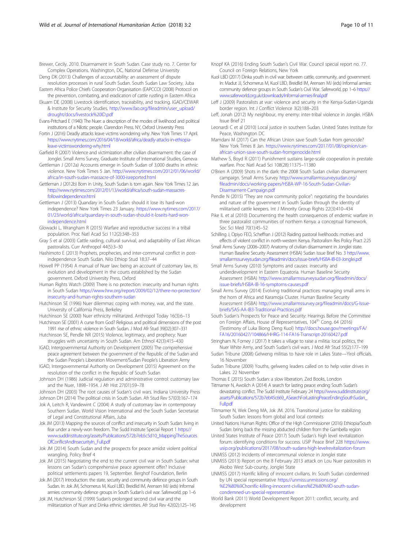<span id="page-9-0"></span>Brewer, Cecily. 2010. Disarmament in South Sudan. Case study no. 7. Center for Complex Operations. Washington, DC, National Defense University

- Deng DK (2013) Challenges of accountability: an assessment of dispute resolution processes in rural South Sudan. South Sudan Law Society, Juba
- Eastern Africa Police Chiefs Cooperation Organisation (EAPCCO) (2008) Protocol on the prevention, combating, and eradication of cattle rustling in Eastern Africa Ekuam DE (2008) Livestock identification, traceability, and tracking. IGAD/CEWAR
- & Institute for Security Studies. [http://www.fao.org/fileadmin/user\\_upload/](http://www.fao.org/fileadmin/user_upload/drought/docs/livestock%20ID.pdf) [drought/docs/livestock%20ID.pdf](http://www.fao.org/fileadmin/user_upload/drought/docs/livestock%20ID.pdf)
- Evans-Pritchard E (1940) The Nuer: a description of the modes of livelihood and political institutions of a Nilotic people. Clarendon Press. NY, Oxford University Press
- Fortin J (2016) Deadly attacks leave victims wondering why. New York Times 17 April. [https://www.nytimes.com/2016/04/18/world/africa/deadly-attacks-in-ethiopia](https://www.nytimes.com/2016/04/18/world/africa/deadly-attacks-in-ethiopia-leave-victimswondering-why.html)[leave-victimswondering-why.html](https://www.nytimes.com/2016/04/18/world/africa/deadly-attacks-in-ethiopia-leave-victimswondering-why.html)
- Garfield R (2007) Violence and victimization after civilian disarmament: the case of Jonglei. Small Arms Survey, Graduate Institute of International Studies, Geneva
- Gettleman J (2012a) Accounts emerge in South Sudan of 3,000 deaths in ethnic violence. New York Times 5 Jan. [http://www.nytimes.com/2012/01/06/world/](http://www.nytimes.com/2012/01/06/world/africa/in-south-sudan-massacre-of-3000-isreported.html) [africa/in-south-sudan-massacre-of-3000-isreported.html](http://www.nytimes.com/2012/01/06/world/africa/in-south-sudan-massacre-of-3000-isreported.html)
- Gettleman J (2012b) Born in Unity, South Sudan is torn again. New York Times 12 Jan. [http://www.nytimes.com/2012/01/13/world/africa/south-sudan-massacres](http://www.nytimes.com/2012/01/13/world/africa/south-sudan-massacres-followindependence.html)[followindependence.html](http://www.nytimes.com/2012/01/13/world/africa/south-sudan-massacres-followindependence.html)
- Gettleman J (2013) Quandary in South Sudan: should it lose its hard-won independence? New York Times 23 January. [https://www.nytimes.com/2017/](https://www.nytimes.com/2017/01/23/world/africa/quandary-in-south-sudan-should-it-loseits-hard-won-independence.html) [01/23/world/africa/quandary-in-south-sudan-should-it-loseits-hard-won](https://www.nytimes.com/2017/01/23/world/africa/quandary-in-south-sudan-should-it-loseits-hard-won-independence.html)[independence.html](https://www.nytimes.com/2017/01/23/world/africa/quandary-in-south-sudan-should-it-loseits-hard-won-independence.html)
- Glowacki L, Wrangham R (2015) Warfare and reproductive success in a tribal population. Proc Natl Acad Sci 112(2):348–353
- Gray S et al (2003) Cattle raiding, cultural survival, and adaptability of East African pastoralists. Curr Anthropol 44(5):3–30
- Hashimoto E (2013) Prophets, prophecies, and inter-communal conflict in postindependence South Sudan. Nilo Ethiop Stud 18:37–44
- Howell PP (1954) A manual of Nuer law: being an account of customary law, its evolution and development in the courts established by the Sudan government. Oxford University Press, Oxford
- Human Rights Watch (2009) There is no protection: insecurity and human rights in South Sudan [https://www.hrw.org/report/2009/02/12/there-no-protection/](https://www.hrw.org/report/2009/02/12/there-no-protection/insecurity-and-human-rights-southern-sudan) [insecurity-and-human-rights-southern-sudan](https://www.hrw.org/report/2009/02/12/there-no-protection/insecurity-and-human-rights-southern-sudan)
- Hutchinson SE (1996) Nuer dilemmas: coping with money, war, and the state. University of California Press, Berkeley
- Hutchinson SE (2000) Nuer ethnicity militarized. Anthropol Today 16(3):6–13 Hutchinson SE (2001) A curse from God? Religious and political dimensions of the post 1991 rise of ethnic violence in South Sudan. J Mod Afr Stud 39(02):307–331
- Hutchinson SE, Pendle NR (2015) Violence, legitimacy, and prophecy: Nuer struggles with uncertainty in South Sudan. Am Ethnol 42(3):415–430
- IGAD, Intergovernmental Authority on Development (2005) The comprehensive peace agreement between the government of the Republic of the Sudan and the Sudan People's Liberation Movement/Sudan People's Liberation Army
- IGAD, Intergovernmental Authority on Development (2015) Agreement on the resolution of the conflict in the Republic of South Sudan
- Johnson DH (1986) Judicial regulation and administrative control: customary law and the Nuer, 1898–1954. J Afr Hist 27(01):59–78
- Johnson DH (2003) The root causes of Sudan's civil wars. Indiana University Press Johnson DH (2014) The political crisis in South Sudan. Afr Stud Rev 57(03):167–174
- Jok A, Leitch R, Vandewint C (2004) A study of customary law in contemporary Southern Sudan. World Vision International and the South Sudan Secretariat of Legal and Constitutional Affairs, Juba
- Jok JM (2013) Mapping the sources of conflict and insecurity in South Sudan: living in fear under a newly-won freedom. The Sudd Institute Special Report 1 [https://](https://www.suddinstitute.org/assets/Publications/572b7eb5c5d10_MappingTheSourcesOfConflictAndInsecurityIn_Full.pdf) [www.suddinstitute.org/assets/Publications/572b7eb5c5d10\\_MappingTheSources](https://www.suddinstitute.org/assets/Publications/572b7eb5c5d10_MappingTheSourcesOfConflictAndInsecurityIn_Full.pdf) [OfConflictAndInsecurityIn\\_Full.pdf](https://www.suddinstitute.org/assets/Publications/572b7eb5c5d10_MappingTheSourcesOfConflictAndInsecurityIn_Full.pdf)
- Jok JM (2014) South Sudan and the prospects for peace amidst violent political wrangling. Policy Brief 4
- Jok JM (2015) Negotiating the end to the current civil war in South Sudan: what lessons can Sudan's comprehensive peace agreement offer? Inclusive political settlements papers 19, September. Berghof Foundation, Berlin
- Jok JM (2017) Introduction: the state, security and community defence groups in South Sudan. In: Jok JM, Schomerus M, Kuol LBD, Breidlid IM, Arensen MJ (eds) Informal armies: community defence groups in South Sudan's civil war. Saferworld, pp 1–6
- Jok JM, Hutchinson SE (1999) Sudan's prolonged second civil war and the militarization of Nuer and Dinka ethnic identities. Afr Stud Rev 42(02):125–145
- Knopf KA (2016) Ending South Sudan's Civil War. Council special report no. 77. Council on Foreign Relations, New York
- Kuol LBD (2017) Dinka youth in civil war: between cattle, community, and government. In: Madut JJ, Schomerus M, Kuol LBD, Breidlid IM, Arensen MJ (eds) Informal armies: community defence groups in South Sudan's Civil War. Saferworld, pp 1–6 [https://](https://www.saferworld.org.uk/downloads/informal-armies-final.pdf) [www.saferworld.org.uk/downloads/informal-armies-final.pdf](https://www.saferworld.org.uk/downloads/informal-armies-final.pdf)
- Leff J (2009) Pastoralists at war: violence and security in the Kenya-Sudan-Uganda border region. Int J Conflict Violence 3(2):188–203
- Leff, Jonah (2012) My neighbour, my enemy: inter-tribal violence in Jonglei. HSBA Issue Brief 21
- Leonardi C et al (2010) Local justice in southern Sudan. United States Institute for Peace, Washington DC
- Mamdani M (2017) Can the African Union save South Sudan from genocide? New York Times 8 Jan. [https://www.nytimes.com/2017/01/08/opinion/can](https://www.nytimes.com/2017/01/08/opinion/can-african-union-save-south-sudan-fromgenocide.html)[african-union-save-south-sudan-fromgenocide.html](https://www.nytimes.com/2017/01/08/opinion/can-african-union-save-south-sudan-fromgenocide.html)
- Mathew S, Boyd R (2011) Punishment sustains large-scale cooperation in prestate warfare. Proc Natl Acad Sci 108(28):11375–11380
- O'Brien A (2009) Shots in the dark: the 2008 South Sudan civilian disarmament campaign. Small Arms Survey [http://www.smallarmssurveysudan.org/](http://www.smallarmssurveysudan.org/fileadmin/docs/working-papers/HSBA-WP-16-South-Sudan-Civilian-Disarmament-Campaign.pdf) [fileadmin/docs/working-papers/HSBA-WP-16-South-Sudan-Civilian-](http://www.smallarmssurveysudan.org/fileadmin/docs/working-papers/HSBA-WP-16-South-Sudan-Civilian-Disarmament-Campaign.pdf)[Disarmament-Campaign.pdf](http://www.smallarmssurveysudan.org/fileadmin/docs/working-papers/HSBA-WP-16-South-Sudan-Civilian-Disarmament-Campaign.pdf)
- Pendle N (2015) "They are now community police": negotiating the boundaries and nature of the government in South Sudan through the identity of militarised cattle keepers. Int J Minority Group Rights 22(3):410–434
- Pike IL et al (2010) Documenting the health consequences of endemic warfare in three pastoralist communities of northern Kenya: a conceptual framework. Soc Sci Med 70(1):45–52
- Schilling J, Opiyo FEO, Scheffran J (2012) Raiding pastoral livelihoods: motives and effects of violent conflict in north-western Kenya. Pastoralism Res Policy Pract 2:25
- Small Arms Survey (2006–2007) Anatomy of civilian disarmament in Jonglei state. Human Baseline Security Assessment (HSBA) Sudan Issue Brief No. 3 [http://www.](http://www.smallarmssurveysudan.org/fileadmin/docs/issue-briefs/HSBA-IB-03-Jonglei.pdf) [smallarmssurveysudan.org/fileadmin/docs/issue-briefs/HSBA-IB-03-Jonglei.pdf](http://www.smallarmssurveysudan.org/fileadmin/docs/issue-briefs/HSBA-IB-03-Jonglei.pdf)
- Small Arms Survey (2010) Symptoms and causes: insecurity and underdevelopment in Eastern Equatoria. Human Baseline Security Assessment (HSBA) [http://www.smallarmssurveysudan.org/fileadmin/docs/](http://www.smallarmssurveysudan.org/fileadmin/docs/issue-briefs/HSBA-IB-16-symptoms-causes.pdf) [issue-briefs/HSBA-IB-16-symptoms-causes.pdf](http://www.smallarmssurveysudan.org/fileadmin/docs/issue-briefs/HSBA-IB-16-symptoms-causes.pdf)
- Small Arms Survey (2014) Evolving traditional practices: managing small arms in the horn of Africa and Karamoja Cluster. Human Baseline Security Assessment (HSBA) [http://www.smallarmssurvey.org/fileadmin/docs/G-Issue](http://www.smallarmssurvey.org/fileadmin/docs/G-Issue-briefs/SAS-AA-IB3-Traditional-Practices.pdf)[briefs/SAS-AA-IB3-Traditional-Practices.pdf](http://www.smallarmssurvey.org/fileadmin/docs/G-Issue-briefs/SAS-AA-IB3-Traditional-Practices.pdf)
- South Sudan's Prospects for Peace and Security: Hearings Before the Committee on Foreign Affairs, House of Representatives, 104<sup>th</sup> Cong. 64 (2016) (Testimony of Luka Biong Deng Kuol) [http://docs.house.gov/meetings/FA/](http://docs.house.gov/meetings/FA/FA16/20160427/104866/HHRG-114-FA16-Transcript-20160427.pdf) [FA16/20160427/104866/HHRG-114-FA16-Transcript-20160427.pdf](http://docs.house.gov/meetings/FA/FA16/20160427/104866/HHRG-114-FA16-Transcript-20160427.pdf)
- Stringham N, Forney J (2017) It takes a village to raise a militia: local politics, the Nuer White Army, and South Sudan's civil wars. J Mod Afr Stud 55(2):177–199
- Sudan Tribune (2008) Gelweng militias to have role in Lakes State—Yirol officials. 16 November
- Sudan Tribune (2009) Youths, gelweng leaders called on to help voter drives in Lakes. 22 November
- Thomas E (2015) South Sudan: a slow liberation. Zed Books, London
- Tiitmamer N, Awolich A (2014) A search for lasting peace: ending South Sudan's devastating conflict. The Sudd Institute February 24 [https://www.suddinstitute.org/](https://www.suddinstitute.org/assets/Publications/572b7eb45c669_ASearchForLastingPeaceEndingSouthSudan_Full.pdf) [assets/Publications/572b7eb45c669\\_ASearchForLastingPeaceEndingSouthSudan\\_](https://www.suddinstitute.org/assets/Publications/572b7eb45c669_ASearchForLastingPeaceEndingSouthSudan_Full.pdf) **[Full.pdf](https://www.suddinstitute.org/assets/Publications/572b7eb45c669_ASearchForLastingPeaceEndingSouthSudan_Full.pdf)**
- Tiitmamer N, Wek Deng MA, Jok JM. 2016. Transitional justice for stabilizing South Sudan: lessons from global and local contexts
- United Nations Human Rights: Office of the High Commissioner (2016) Ethiopia/South Sudan: bring back the missing abducted children from the Gambella region
- United States Institute of Peace (2017) South Sudan's high level revitalization forum: identifying conditions for success. USIP Peace Brief 228 [https://www.](https://www.usip.org/publications/2017/08/south-sudans-high-levelrevitalization-forum) [usip.org/publications/2017/08/south-sudans-high-levelrevitalization-forum](https://www.usip.org/publications/2017/08/south-sudans-high-levelrevitalization-forum)
- UNMISS (2012) Incidents of intercommunal violence in Jonglei state UNMISS (2013) Report on the 8 February 2013 attack on Lou Nuer pastoralists in Akobo West Sub-county, Jonglei State
- UNMISS (2017) Horrific killing of innocent civilians. In: South Sudan condemned by UN special representative [https://unmiss.unmissions.org/](https://unmiss.unmissions.org/%E2%80%9Chorrific-killing-innocent-civilians%E2%80%9D-south-sudan-condemned-un-special-representative) [%E2%80%9Chorrific-killing-innocent-civilians%E2%80%9D-south-sudan](https://unmiss.unmissions.org/%E2%80%9Chorrific-killing-innocent-civilians%E2%80%9D-south-sudan-condemned-un-special-representative)[condemned-un-special-representative](https://unmiss.unmissions.org/%E2%80%9Chorrific-killing-innocent-civilians%E2%80%9D-south-sudan-condemned-un-special-representative)
- World Bank (2011) World Development Report 2011: conflict, security, and development